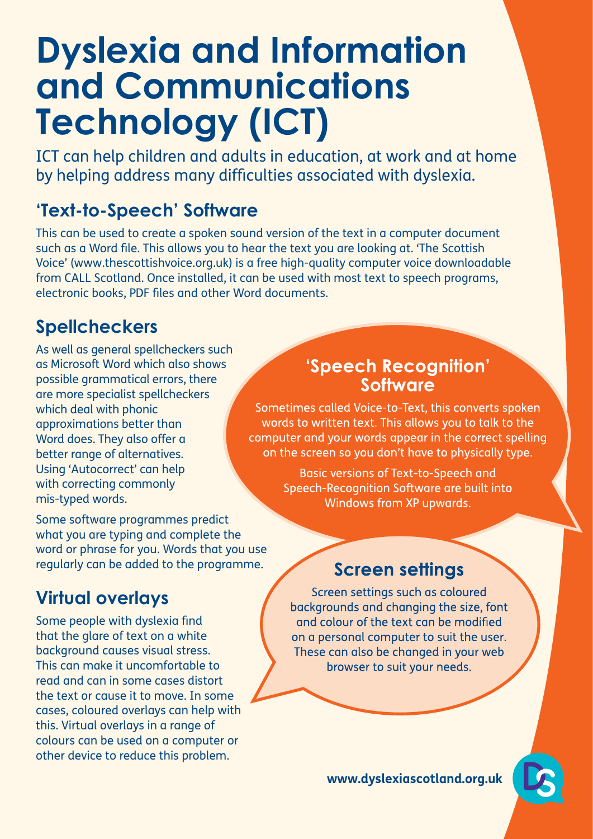# **Dyslexia and Information and Communications Technology (ICT)**

ICT can help children and adults in education, at work and at home by helping address many difficulties associated with dyslexia.

# **'Text-to-Speech' Software**

This can be used to create a spoken sound version of the text in a computer document such as a Word file. This allows you to hear the text you are looking at. 'The Scottish Voice' (www.thescottishvoice.org.uk) is a free high-quality computer voice downloadable from CALL Scotland. Once installed, it can be used with most text to speech programs, electronic books, PDF files and other Word documents.

# **Spellcheckers**

As well as general spellcheckers such as Microsoft Word which also shows possible grammatical errors, there are more specialist spellcheckers which deal with phonic approximations better than Word does. They also offer a better range of alternatives. Using 'Autocorrect' can help with correcting commonly mis-typed words.

Some software programmes predict what you are typing and complete the word or phrase for you. Words that you use regularly can be added to the programme.

# **Virtual overlays**

Some people with dyslexia find that the glare of text on a white background causes visual stress. This can make it uncomfortable to read and can in some cases distort the text or cause it to move. In some cases, coloured overlays can help with this. Virtual overlays in a range of colours can be used on a computer or other device to reduce this problem.

#### 'Speech Recognition' Software

Sometimes called Voice-to-Text, this converts spoken words to written text. This allows you to talk to the computer and your words appear in the correct spelling on the screen so you don't have to physically type.

> **Basic versions of Text-to-Speech and** Speech-Recognition Software are built into Windows from XP upwards.

#### **Screen settings**

Screen settings such as coloured backgrounds and changing the size, font and colour of the text can be modified on a personal computer to suit the user. These can also be changed in your web browser to suit your needs.

**www.dyslexiascotland.org.uk**